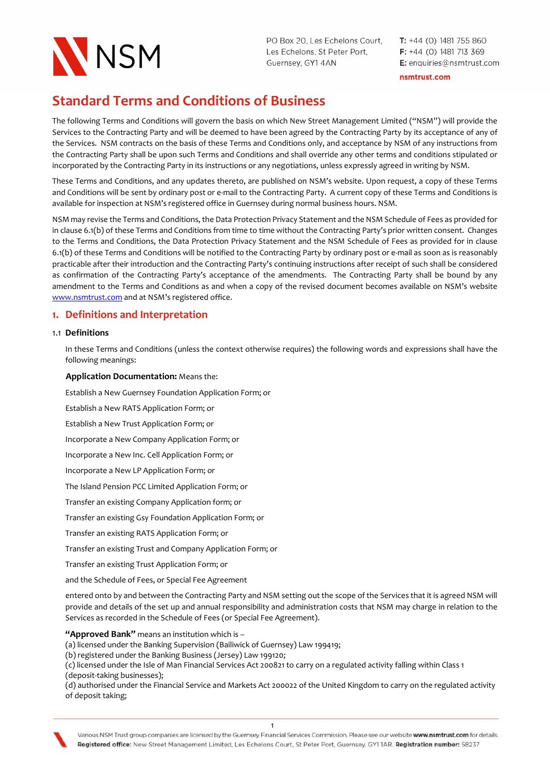

 $T: +44$  (0) 1481 755 860  $F: +44$  (0) 1481 713 369 E: enquiries@nsmtrust.com

nsmtrust.com

# Standard Terms and Conditions of Business

The following Terms and Conditions will govern the basis on which New Street Management Limited ("NSM") will provide the Services to the Contracting Party and will be deemed to have been agreed by the Contracting Party by its acceptance of any of the Services. NSM contracts on the basis of these Terms and Conditions only, and acceptance by NSM of any instructions from the Contracting Party shall be upon such Terms and Conditions and shall override any other terms and conditions stipulated or incorporated by the Contracting Party in its instructions or any negotiations, unless expressly agreed in writing by NSM.

These Terms and Conditions, and any updates thereto, are published on NSM's website. Upon request, a copy of these Terms and Conditions will be sent by ordinary post or e-mail to the Contracting Party. A current copy of these Terms and Conditions is available for inspection at NSM's registered office in Guernsey during normal business hours. NSM.

NSM may revise the Terms and Conditions, the Data Protection Privacy Statement and the NSM Schedule of Fees as provided for in clause 6.1(b) of these Terms and Conditions from time to time without the Contracting Party's prior written consent. Changes to the Terms and Conditions, the Data Protection Privacy Statement and the NSM Schedule of Fees as provided for in clause 6.1(b) of these Terms and Conditions will be notified to the Contracting Party by ordinary post or e-mail as soon as is reasonably practicable after their introduction and the Contracting Party's continuing instructions after receipt of such shall be considered as confirmation of the Contracting Party's acceptance of the amendments. The Contracting Party shall be bound by any amendment to the Terms and Conditions as and when a copy of the revised document becomes available on NSM's website www.nsmtrust.com and at NSM's registered office.

# 1. Definitions and Interpretation

#### 1.1 Definitions

In these Terms and Conditions (unless the context otherwise requires) the following words and expressions shall have the following meanings:

#### Application Documentation: Means the:

Establish a New Guernsey Foundation Application Form; or

Establish a New RATS Application Form; or

Establish a New Trust Application Form; or

Incorporate a New Company Application Form; or

Incorporate a New Inc. Cell Application Form; or

Incorporate a New LP Application Form; or

The Island Pension PCC Limited Application Form; or

Transfer an existing Company Application form; or

Transfer an existing Gsy Foundation Application Form; or

Transfer an existing RATS Application Form; or

Transfer an existing Trust and Company Application Form; or

Transfer an existing Trust Application Form; or

and the Schedule of Fees, or Special Fee Agreement

entered onto by and between the Contracting Party and NSM setting out the scope of the Services that it is agreed NSM will provide and details of the set up and annual responsibility and administration costs that NSM may charge in relation to the Services as recorded in the Schedule of Fees (or Special Fee Agreement).

"Approved Bank" means an institution which is -

(a) licensed under the Banking Supervision (Bailiwick of Guernsey) Law 199419;

(b) registered under the Banking Business (Jersey) Law 199120;

(c) licensed under the Isle of Man Financial Services Act 200821 to carry on a regulated activity falling within Class 1 (deposit-taking businesses);

(d) authorised under the Financial Service and Markets Act 200022 of the United Kingdom to carry on the regulated activity of deposit taking;

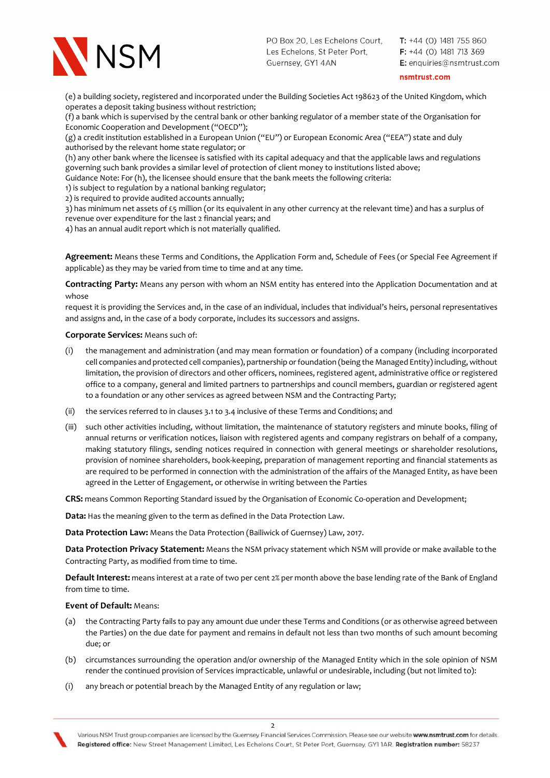

 $T: +44$  (0) 1481 755 860  $F: +44$  (0) 1481 713 369 E: enquiries@nsmtrust.com

#### nsmtrust.com

(e) a building society, registered and incorporated under the Building Societies Act 198623 of the United Kingdom, which operates a deposit taking business without restriction;

(f) a bank which is supervised by the central bank or other banking regulator of a member state of the Organisation for Economic Cooperation and Development ("OECD");

(g) a credit institution established in a European Union ("EU") or European Economic Area ("EEA") state and duly authorised by the relevant home state regulator; or

(h) any other bank where the licensee is satisfied with its capital adequacy and that the applicable laws and regulations governing such bank provides a similar level of protection of client money to institutions listed above;

Guidance Note: For (h), the licensee should ensure that the bank meets the following criteria:

1) is subject to regulation by a national banking regulator;

2) is required to provide audited accounts annually;

3) has minimum net assets of £5 million (or its equivalent in any other currency at the relevant time) and has a surplus of revenue over expenditure for the last 2 financial years; and

4) has an annual audit report which is not materially qualified.

Agreement: Means these Terms and Conditions, the Application Form and, Schedule of Fees (or Special Fee Agreement if applicable) as they may be varied from time to time and at any time.

Contracting Party: Means any person with whom an NSM entity has entered into the Application Documentation and at whose

request it is providing the Services and, in the case of an individual, includes that individual's heirs, personal representatives and assigns and, in the case of a body corporate, includes its successors and assigns.

#### Corporate Services: Means such of:

- (i) the management and administration (and may mean formation or foundation) of a company (including incorporated cell companies and protected cell companies), partnership or foundation (being the Managed Entity) including, without limitation, the provision of directors and other officers, nominees, registered agent, administrative office or registered office to a company, general and limited partners to partnerships and council members, guardian or registered agent to a foundation or any other services as agreed between NSM and the Contracting Party;
- (ii) the services referred to in clauses 3.1 to 3.4 inclusive of these Terms and Conditions; and
- (iii) such other activities including, without limitation, the maintenance of statutory registers and minute books, filing of annual returns or verification notices, liaison with registered agents and company registrars on behalf of a company, making statutory filings, sending notices required in connection with general meetings or shareholder resolutions, provision of nominee shareholders, book-keeping, preparation of management reporting and financial statements as are required to be performed in connection with the administration of the affairs of the Managed Entity, as have been agreed in the Letter of Engagement, or otherwise in writing between the Parties

CRS: means Common Reporting Standard issued by the Organisation of Economic Co-operation and Development;

Data: Has the meaning given to the term as defined in the Data Protection Law.

Data Protection Law: Means the Data Protection (Bailiwick of Guernsey) Law, 2017.

Data Protection Privacy Statement: Means the NSM privacy statement which NSM will provide or make available to the Contracting Party, as modified from time to time.

Default Interest: means interest at a rate of two per cent 2% per month above the base lending rate of the Bank of England from time to time.

#### Event of Default: Means:

- (a) the Contracting Party fails to pay any amount due under these Terms and Conditions (or as otherwise agreed between the Parties) on the due date for payment and remains in default not less than two months of such amount becoming due; or
- (b) circumstances surrounding the operation and/or ownership of the Managed Entity which in the sole opinion of NSM render the continued provision of Services impracticable, unlawful or undesirable, including (but not limited to):
- (i) any breach or potential breach by the Managed Entity of any regulation or law;

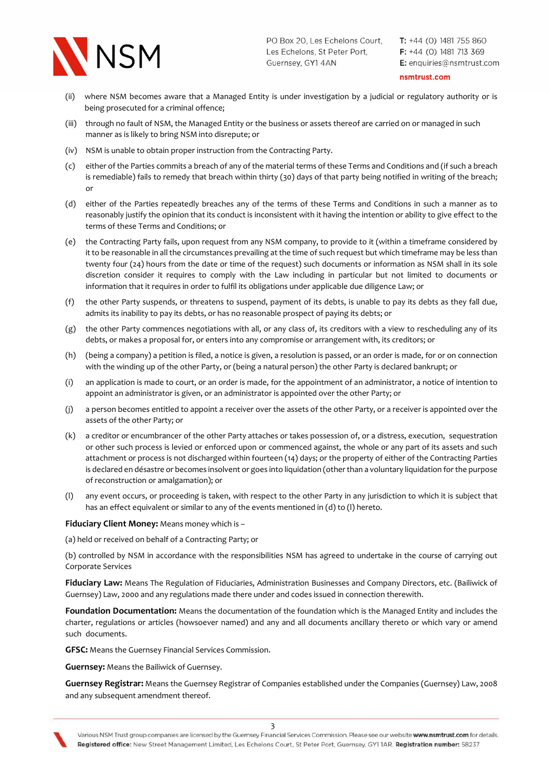

 $T: +44$  (0) 1481 755 860  $F: +44$  (0) 1481 713 369 E: enquiries@nsmtrust.com

nsmtrust.com

- (ii) where NSM becomes aware that a Managed Entity is under investigation by a judicial or regulatory authority or is being prosecuted for a criminal offence;
- (iii) through no fault of NSM, the Managed Entity or the business or assets thereof are carried on or managed in such manner as is likely to bring NSM into disrepute; or
- (iv) NSM is unable to obtain proper instruction from the Contracting Party.
- (c) either of the Parties commits a breach of any of the material terms of these Terms and Conditions and (if such a breach is remediable) fails to remedy that breach within thirty (30) days of that party being notified in writing of the breach; or
- (d) either of the Parties repeatedly breaches any of the terms of these Terms and Conditions in such a manner as to reasonably justify the opinion that its conduct is inconsistent with it having the intention or ability to give effect to the terms of these Terms and Conditions; or
- (e) the Contracting Party fails, upon request from any NSM company, to provide to it (within a timeframe considered by it to be reasonable in all the circumstances prevailing at the time of such request but which timeframe may be less than twenty four (24) hours from the date or time of the request) such documents or information as NSM shall in its sole discretion consider it requires to comply with the Law including in particular but not limited to documents or information that it requires in order to fulfil its obligations under applicable due diligence Law; or
- (f) the other Party suspends, or threatens to suspend, payment of its debts, is unable to pay its debts as they fall due, admits its inability to pay its debts, or has no reasonable prospect of paying its debts; or
- (g) the other Party commences negotiations with all, or any class of, its creditors with a view to rescheduling any of its debts, or makes a proposal for, or enters into any compromise or arrangement with, its creditors; or
- (h) (being a company) a petition is filed, a notice is given, a resolution is passed, or an order is made, for or on connection with the winding up of the other Party, or (being a natural person) the other Party is declared bankrupt; or
- (i) an application is made to court, or an order is made, for the appointment of an administrator, a notice of intention to appoint an administrator is given, or an administrator is appointed over the other Party; or
- (j) a person becomes entitled to appoint a receiver over the assets of the other Party, or a receiver is appointed over the assets of the other Party; or
- (k) a creditor or encumbrancer of the other Party attaches or takes possession of, or a distress, execution, sequestration or other such process is levied or enforced upon or commenced against, the whole or any part of its assets and such attachment or process is not discharged within fourteen (14) days; or the property of either of the Contracting Parties is declared en désastre or becomes insolvent or goes into liquidation (other than a voluntary liquidation for the purpose of reconstruction or amalgamation); or
- (l) any event occurs, or proceeding is taken, with respect to the other Party in any jurisdiction to which it is subject that has an effect equivalent or similar to any of the events mentioned in (d) to (l) hereto.

Fiduciary Client Money: Means money which is -

(a) held or received on behalf of a Contracting Party; or

(b) controlled by NSM in accordance with the responsibilities NSM has agreed to undertake in the course of carrying out Corporate Services

Fiduciary Law: Means The Regulation of Fiduciaries, Administration Businesses and Company Directors, etc. (Bailiwick of Guernsey) Law, 2000 and any regulations made there under and codes issued in connection therewith.

Foundation Documentation: Means the documentation of the foundation which is the Managed Entity and includes the charter, regulations or articles (howsoever named) and any and all documents ancillary thereto or which vary or amend such documents.

GFSC: Means the Guernsey Financial Services Commission.

Guernsey: Means the Bailiwick of Guernsey.

 Guernsey Registrar: Means the Guernsey Registrar of Companies established under the Companies (Guernsey) Law, 2008 and any subsequent amendment thereof.

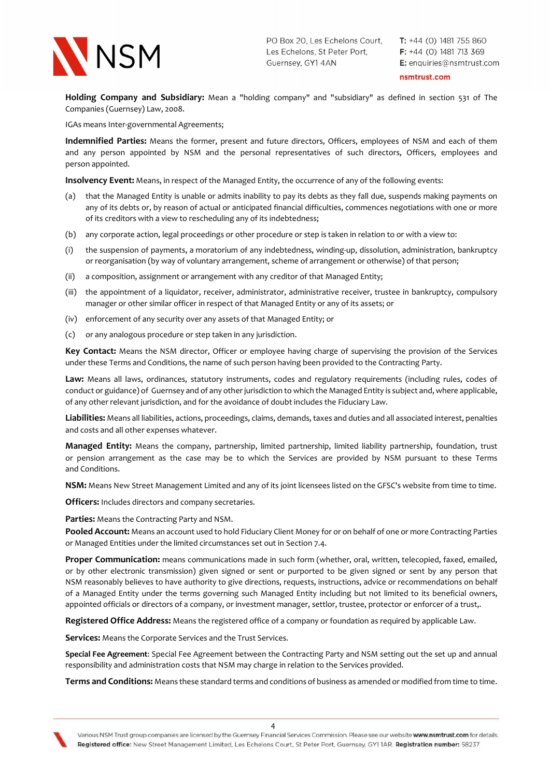

 $T: +44$  (0) 1481 755 860  $F: +44$  (0) 1481 713 369 E: enquiries@nsmtrust.com

#### nsmtrust.com

Holding Company and Subsidiary: Mean a "holding company" and "subsidiary" as defined in section 531 of The Companies (Guernsey) Law, 2008.

IGAs means Inter-governmental Agreements;

 Indemnified Parties: Means the former, present and future directors, Officers, employees of NSM and each of them and any person appointed by NSM and the personal representatives of such directors, Officers, employees and person appointed.

Insolvency Event: Means, in respect of the Managed Entity, the occurrence of any of the following events:

- (a) that the Managed Entity is unable or admits inability to pay its debts as they fall due, suspends making payments on any of its debts or, by reason of actual or anticipated financial difficulties, commences negotiations with one or more of its creditors with a view to rescheduling any of its indebtedness;
- (b) any corporate action, legal proceedings or other procedure or step is taken in relation to or with a view to:
- (i) the suspension of payments, a moratorium of any indebtedness, winding-up, dissolution, administration, bankruptcy or reorganisation (by way of voluntary arrangement, scheme of arrangement or otherwise) of that person;
- (ii) a composition, assignment or arrangement with any creditor of that Managed Entity;
- (iii) the appointment of a liquidator, receiver, administrator, administrative receiver, trustee in bankruptcy, compulsory manager or other similar officer in respect of that Managed Entity or any of its assets; or
- (iv) enforcement of any security over any assets of that Managed Entity; or
- (c) or any analogous procedure or step taken in any jurisdiction.

Key Contact: Means the NSM director, Officer or employee having charge of supervising the provision of the Services under these Terms and Conditions, the name of such person having been provided to the Contracting Party.

Law: Means all laws, ordinances, statutory instruments, codes and regulatory requirements (including rules, codes of conduct or guidance) of Guernsey and of any other jurisdiction to which the Managed Entity is subject and, where applicable, of any other relevant jurisdiction, and for the avoidance of doubt includes the Fiduciary Law.

Liabilities: Means all liabilities, actions, proceedings, claims, demands, taxes and duties and all associated interest, penalties and costs and all other expenses whatever.

Managed Entity: Means the company, partnership, limited partnership, limited liability partnership, foundation, trust or pension arrangement as the case may be to which the Services are provided by NSM pursuant to these Terms and Conditions.

NSM: Means New Street Management Limited and any of its joint licensees listed on the GFSC's website from time to time.

Officers: Includes directors and company secretaries.

Parties: Means the Contracting Party and NSM.

Pooled Account: Means an account used to hold Fiduciary Client Money for or on behalf of one or more Contracting Parties or Managed Entities under the limited circumstances set out in Section 7.4.

Proper Communication: means communications made in such form (whether, oral, written, telecopied, faxed, emailed, or by other electronic transmission) given signed or sent or purported to be given signed or sent by any person that NSM reasonably believes to have authority to give directions, requests, instructions, advice or recommendations on behalf of a Managed Entity under the terms governing such Managed Entity including but not limited to its beneficial owners, appointed officials or directors of a company, or investment manager, settlor, trustee, protector or enforcer of a trust,.

Registered Office Address: Means the registered office of a company or foundation as required by applicable Law.

Services: Means the Corporate Services and the Trust Services.

Special Fee Agreement: Special Fee Agreement between the Contracting Party and NSM setting out the set up and annual responsibility and administration costs that NSM may charge in relation to the Services provided.

Terms and Conditions: Means these standard terms and conditions of business as amended or modified from time to time.

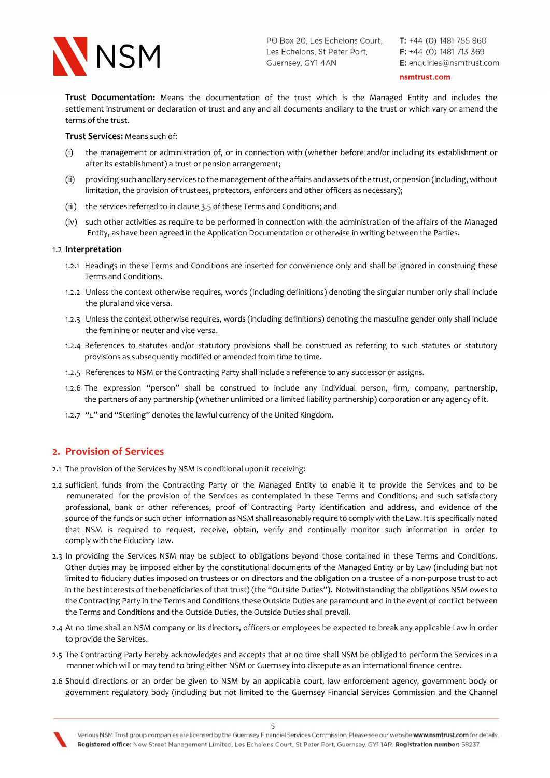

 $T: +44$  (0) 1481 755 860  $F: +44$  (0) 1481 713 369 E: enquiries@nsmtrust.com

nsmtrust.com

Trust Documentation: Means the documentation of the trust which is the Managed Entity and includes the settlement instrument or declaration of trust and any and all documents ancillary to the trust or which vary or amend the terms of the trust.

Trust Services: Means such of:

- (i) the management or administration of, or in connection with (whether before and/or including its establishment or after its establishment) a trust or pension arrangement;
- (ii) providing such ancillary services to the management of the affairs and assets of the trust, or pension (including, without limitation, the provision of trustees, protectors, enforcers and other officers as necessary);
- (iii) the services referred to in clause 3.5 of these Terms and Conditions; and
- (iv) such other activities as require to be performed in connection with the administration of the affairs of the Managed Entity, as have been agreed in the Application Documentation or otherwise in writing between the Parties.

#### 1.2 Interpretation

- 1.2.1 Headings in these Terms and Conditions are inserted for convenience only and shall be ignored in construing these Terms and Conditions.
- 1.2.2 Unless the context otherwise requires, words (including definitions) denoting the singular number only shall include the plural and vice versa.
- 1.2.3 Unless the context otherwise requires, words (including definitions) denoting the masculine gender only shall include the feminine or neuter and vice versa.
- 1.2.4 References to statutes and/or statutory provisions shall be construed as referring to such statutes or statutory provisions as subsequently modified or amended from time to time.
- 1.2.5 References to NSM or the Contracting Party shall include a reference to any successor or assigns.
- 1.2.6 The expression "person" shall be construed to include any individual person, firm, company, partnership, the partners of any partnership (whether unlimited or a limited liability partnership) corporation or any agency of it.
- 1.2.7 "£" and "Sterling" denotes the lawful currency of the United Kingdom.

### 2. Provision of Services

- 2.1 The provision of the Services by NSM is conditional upon it receiving:
- 2.2 sufficient funds from the Contracting Party or the Managed Entity to enable it to provide the Services and to be remunerated for the provision of the Services as contemplated in these Terms and Conditions; and such satisfactory professional, bank or other references, proof of Contracting Party identification and address, and evidence of the source of the funds or such other information as NSM shall reasonably require to comply with the Law. It is specifically noted that NSM is required to request, receive, obtain, verify and continually monitor such information in order to comply with the Fiduciary Law.
- 2.3 In providing the Services NSM may be subject to obligations beyond those contained in these Terms and Conditions. Other duties may be imposed either by the constitutional documents of the Managed Entity or by Law (including but not limited to fiduciary duties imposed on trustees or on directors and the obligation on a trustee of a non-purpose trust to act in the best interests of the beneficiaries of that trust) (the "Outside Duties"). Notwithstanding the obligations NSM owes to the Contracting Party in the Terms and Conditions these Outside Duties are paramount and in the event of conflict between the Terms and Conditions and the Outside Duties, the Outside Duties shall prevail.
- 2.4 At no time shall an NSM company or its directors, officers or employees be expected to break any applicable Law in order to provide the Services.
- 2.5 The Contracting Party hereby acknowledges and accepts that at no time shall NSM be obliged to perform the Services in a manner which will or may tend to bring either NSM or Guernsey into disrepute as an international finance centre.
- 2.6 Should directions or an order be given to NSM by an applicable court, law enforcement agency, government body or government regulatory body (including but not limited to the Guernsey Financial Services Commission and the Channel

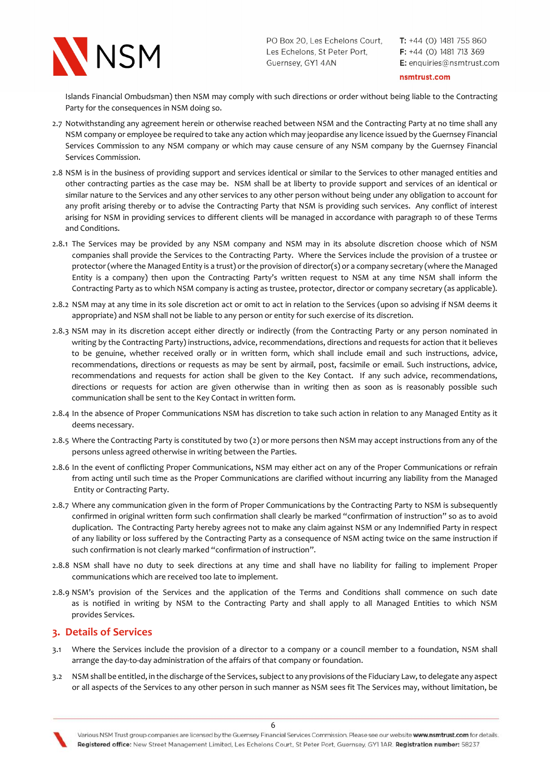

 $T: +44$  (0) 1481 755 860  $F: +44$  (0) 1481 713 369 E: enquiries@nsmtrust.com

nsmtrust.com

 Islands Financial Ombudsman) then NSM may comply with such directions or order without being liable to the Contracting Party for the consequences in NSM doing so.

- 2.7 Notwithstanding any agreement herein or otherwise reached between NSM and the Contracting Party at no time shall any NSM company or employee be required to take any action which may jeopardise any licence issued by the Guernsey Financial Services Commission to any NSM company or which may cause censure of any NSM company by the Guernsey Financial Services Commission.
- 2.8 NSM is in the business of providing support and services identical or similar to the Services to other managed entities and other contracting parties as the case may be. NSM shall be at liberty to provide support and services of an identical or similar nature to the Services and any other services to any other person without being under any obligation to account for any profit arising thereby or to advise the Contracting Party that NSM is providing such services. Any conflict of interest arising for NSM in providing services to different clients will be managed in accordance with paragraph 10 of these Terms and Conditions.
- 2.8.1 The Services may be provided by any NSM company and NSM may in its absolute discretion choose which of NSM companies shall provide the Services to the Contracting Party. Where the Services include the provision of a trustee or protector (where the Managed Entity is a trust) or the provision of director(s) or a company secretary (where the Managed Entity is a company) then upon the Contracting Party's written request to NSM at any time NSM shall inform the Contracting Party as to which NSM company is acting as trustee, protector, director or company secretary (as applicable).
- 2.8.2 NSM may at any time in its sole discretion act or omit to act in relation to the Services (upon so advising if NSM deems it appropriate) and NSM shall not be liable to any person or entity for such exercise of its discretion.
- 2.8.3 NSM may in its discretion accept either directly or indirectly (from the Contracting Party or any person nominated in writing by the Contracting Party) instructions, advice, recommendations, directions and requests for action that it believes to be genuine, whether received orally or in written form, which shall include email and such instructions, advice, recommendations, directions or requests as may be sent by airmail, post, facsimile or email. Such instructions, advice, recommendations and requests for action shall be given to the Key Contact. If any such advice, recommendations, directions or requests for action are given otherwise than in writing then as soon as is reasonably possible such communication shall be sent to the Key Contact in written form.
- 2.8.4 In the absence of Proper Communications NSM has discretion to take such action in relation to any Managed Entity as it deems necessary.
- 2.8.5 Where the Contracting Party is constituted by two (2) or more persons then NSM may accept instructions from any of the persons unless agreed otherwise in writing between the Parties.
- 2.8.6 In the event of conflicting Proper Communications, NSM may either act on any of the Proper Communications or refrain from acting until such time as the Proper Communications are clarified without incurring any liability from the Managed Entity or Contracting Party.
- 2.8.7 Where any communication given in the form of Proper Communications by the Contracting Party to NSM is subsequently confirmed in original written form such confirmation shall clearly be marked "confirmation of instruction" so as to avoid duplication. The Contracting Party hereby agrees not to make any claim against NSM or any Indemnified Party in respect of any liability or loss suffered by the Contracting Party as a consequence of NSM acting twice on the same instruction if such confirmation is not clearly marked "confirmation of instruction".
- 2.8.8 NSM shall have no duty to seek directions at any time and shall have no liability for failing to implement Proper communications which are received too late to implement.
- 2.8.9 NSM's provision of the Services and the application of the Terms and Conditions shall commence on such date as is notified in writing by NSM to the Contracting Party and shall apply to all Managed Entities to which NSM provides Services.

## 3. Details of Services

- 3.1 Where the Services include the provision of a director to a company or a council member to a foundation, NSM shall arrange the day-to-day administration of the affairs of that company or foundation.
- 3.2 NSM shall be entitled, in the discharge of the Services, subject to any provisions of the Fiduciary Law, to delegate any aspect or all aspects of the Services to any other person in such manner as NSM sees fit The Services may, without limitation, be

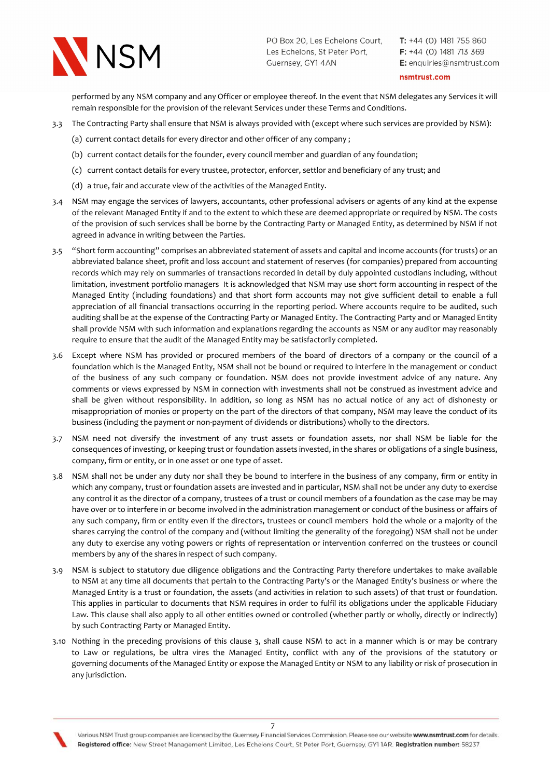

 $T: +44$  (0) 1481 755 860  $F: +44$  (0) 1481 713 369 E: enquiries@nsmtrust.com

nsmtrust.com

performed by any NSM company and any Officer or employee thereof. In the event that NSM delegates any Services it will remain responsible for the provision of the relevant Services under these Terms and Conditions.

- 3.3 The Contracting Party shall ensure that NSM is always provided with (except where such services are provided by NSM):
	- (a) current contact details for every director and other officer of any company ;
	- (b) current contact details for the founder, every council member and guardian of any foundation;
	- (c) current contact details for every trustee, protector, enforcer, settlor and beneficiary of any trust; and
	- (d) a true, fair and accurate view of the activities of the Managed Entity.
- 3.4 NSM may engage the services of lawyers, accountants, other professional advisers or agents of any kind at the expense of the relevant Managed Entity if and to the extent to which these are deemed appropriate or required by NSM. The costs of the provision of such services shall be borne by the Contracting Party or Managed Entity, as determined by NSM if not agreed in advance in writing between the Parties.
- 3.5 "Short form accounting" comprises an abbreviated statement of assets and capital and income accounts (for trusts) or an abbreviated balance sheet, profit and loss account and statement of reserves (for companies) prepared from accounting records which may rely on summaries of transactions recorded in detail by duly appointed custodians including, without limitation, investment portfolio managers It is acknowledged that NSM may use short form accounting in respect of the Managed Entity (including foundations) and that short form accounts may not give sufficient detail to enable a full appreciation of all financial transactions occurring in the reporting period. Where accounts require to be audited, such auditing shall be at the expense of the Contracting Party or Managed Entity. The Contracting Party and or Managed Entity shall provide NSM with such information and explanations regarding the accounts as NSM or any auditor may reasonably require to ensure that the audit of the Managed Entity may be satisfactorily completed.
- 3.6 Except where NSM has provided or procured members of the board of directors of a company or the council of a foundation which is the Managed Entity, NSM shall not be bound or required to interfere in the management or conduct of the business of any such company or foundation. NSM does not provide investment advice of any nature. Any comments or views expressed by NSM in connection with investments shall not be construed as investment advice and shall be given without responsibility. In addition, so long as NSM has no actual notice of any act of dishonesty or misappropriation of monies or property on the part of the directors of that company, NSM may leave the conduct of its business (including the payment or non-payment of dividends or distributions) wholly to the directors.
- 3.7 NSM need not diversify the investment of any trust assets or foundation assets, nor shall NSM be liable for the consequences of investing, or keeping trust or foundation assets invested, in the shares or obligations of a single business, company, firm or entity, or in one asset or one type of asset.
- 3.8 NSM shall not be under any duty nor shall they be bound to interfere in the business of any company, firm or entity in which any company, trust or foundation assets are invested and in particular, NSM shall not be under any duty to exercise any control it as the director of a company, trustees of a trust or council members of a foundation as the case may be may have over or to interfere in or become involved in the administration management or conduct of the business or affairs of any such company, firm or entity even if the directors, trustees or council members hold the whole or a majority of the shares carrying the control of the company and (without limiting the generality of the foregoing) NSM shall not be under any duty to exercise any voting powers or rights of representation or intervention conferred on the trustees or council members by any of the shares in respect of such company.
- 3.9 NSM is subject to statutory due diligence obligations and the Contracting Party therefore undertakes to make available to NSM at any time all documents that pertain to the Contracting Party's or the Managed Entity's business or where the Managed Entity is a trust or foundation, the assets (and activities in relation to such assets) of that trust or foundation. This applies in particular to documents that NSM requires in order to fulfil its obligations under the applicable Fiduciary Law. This clause shall also apply to all other entities owned or controlled (whether partly or wholly, directly or indirectly) by such Contracting Party or Managed Entity.
- 3.10 Nothing in the preceding provisions of this clause 3, shall cause NSM to act in a manner which is or may be contrary to Law or regulations, be ultra vires the Managed Entity, conflict with any of the provisions of the statutory or governing documents of the Managed Entity or expose the Managed Entity or NSM to any liability or risk of prosecution in any jurisdiction.

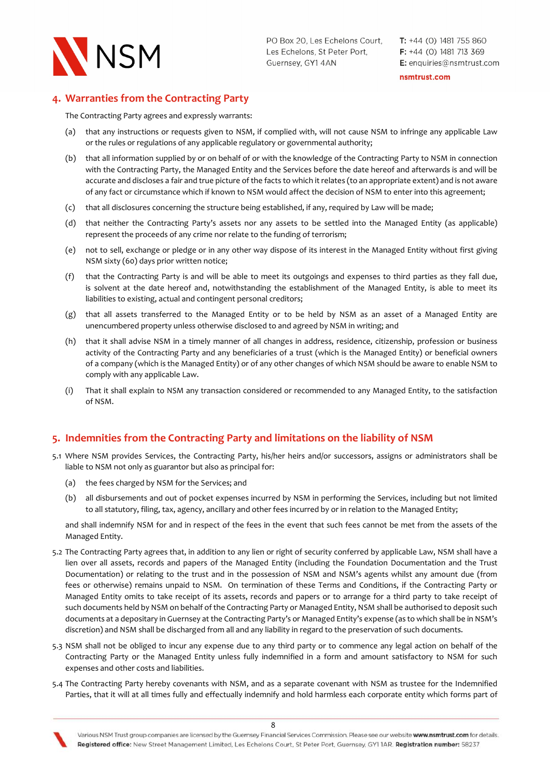

nsmtrust.com

# 4. Warranties from the Contracting Party

The Contracting Party agrees and expressly warrants:

- (a) that any instructions or requests given to NSM, if complied with, will not cause NSM to infringe any applicable Law or the rules or regulations of any applicable regulatory or governmental authority;
- (b) that all information supplied by or on behalf of or with the knowledge of the Contracting Party to NSM in connection with the Contracting Party, the Managed Entity and the Services before the date hereof and afterwards is and will be accurate and discloses a fair and true picture of the facts to which it relates (to an appropriate extent) and is not aware of any fact or circumstance which if known to NSM would affect the decision of NSM to enter into this agreement;
- (c) that all disclosures concerning the structure being established, if any, required by Law will be made;
- (d) that neither the Contracting Party's assets nor any assets to be settled into the Managed Entity (as applicable) represent the proceeds of any crime nor relate to the funding of terrorism;
- (e) not to sell, exchange or pledge or in any other way dispose of its interest in the Managed Entity without first giving NSM sixty (60) days prior written notice;
- (f) that the Contracting Party is and will be able to meet its outgoings and expenses to third parties as they fall due, is solvent at the date hereof and, notwithstanding the establishment of the Managed Entity, is able to meet its liabilities to existing, actual and contingent personal creditors;
- (g) that all assets transferred to the Managed Entity or to be held by NSM as an asset of a Managed Entity are unencumbered property unless otherwise disclosed to and agreed by NSM in writing; and
- (h) that it shall advise NSM in a timely manner of all changes in address, residence, citizenship, profession or business activity of the Contracting Party and any beneficiaries of a trust (which is the Managed Entity) or beneficial owners of a company (which is the Managed Entity) or of any other changes of which NSM should be aware to enable NSM to comply with any applicable Law.
- (i) That it shall explain to NSM any transaction considered or recommended to any Managed Entity, to the satisfaction of NSM.

# 5. Indemnities from the Contracting Party and limitations on the liability of NSM

- 5.1 Where NSM provides Services, the Contracting Party, his/her heirs and/or successors, assigns or administrators shall be liable to NSM not only as guarantor but also as principal for:
	- (a) the fees charged by NSM for the Services; and
	- (b) all disbursements and out of pocket expenses incurred by NSM in performing the Services, including but not limited to all statutory, filing, tax, agency, ancillary and other fees incurred by or in relation to the Managed Entity;

 and shall indemnify NSM for and in respect of the fees in the event that such fees cannot be met from the assets of the Managed Entity.

- 5.2 The Contracting Party agrees that, in addition to any lien or right of security conferred by applicable Law, NSM shall have a lien over all assets, records and papers of the Managed Entity (including the Foundation Documentation and the Trust Documentation) or relating to the trust and in the possession of NSM and NSM's agents whilst any amount due (from fees or otherwise) remains unpaid to NSM. On termination of these Terms and Conditions, if the Contracting Party or Managed Entity omits to take receipt of its assets, records and papers or to arrange for a third party to take receipt of such documents held by NSM on behalf of the Contracting Party or Managed Entity, NSM shall be authorised to deposit such documents at a depositary in Guernsey at the Contracting Party's or Managed Entity's expense (as to which shall be in NSM's discretion) and NSM shall be discharged from all and any liability in regard to the preservation of such documents.
- 5.3 NSM shall not be obliged to incur any expense due to any third party or to commence any legal action on behalf of the Contracting Party or the Managed Entity unless fully indemnified in a form and amount satisfactory to NSM for such expenses and other costs and liabilities.
- 5.4 The Contracting Party hereby covenants with NSM, and as a separate covenant with NSM as trustee for the Indemnified Parties, that it will at all times fully and effectually indemnify and hold harmless each corporate entity which forms part of

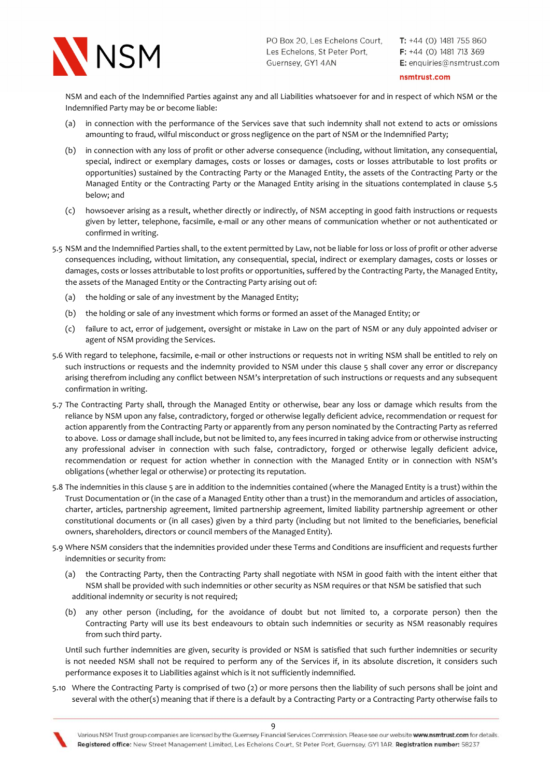

 $T: +44$  (0) 1481 755 860  $F: +44$  (0) 1481 713 369 E: enquiries@nsmtrust.com

#### nsmtrust.com

 NSM and each of the Indemnified Parties against any and all Liabilities whatsoever for and in respect of which NSM or the Indemnified Party may be or become liable:

- (a) in connection with the performance of the Services save that such indemnity shall not extend to acts or omissions amounting to fraud, wilful misconduct or gross negligence on the part of NSM or the Indemnified Party;
- (b) in connection with any loss of profit or other adverse consequence (including, without limitation, any consequential, special, indirect or exemplary damages, costs or losses or damages, costs or losses attributable to lost profits or opportunities) sustained by the Contracting Party or the Managed Entity, the assets of the Contracting Party or the Managed Entity or the Contracting Party or the Managed Entity arising in the situations contemplated in clause 5.5 below; and
- (c) howsoever arising as a result, whether directly or indirectly, of NSM accepting in good faith instructions or requests given by letter, telephone, facsimile, e-mail or any other means of communication whether or not authenticated or confirmed in writing.
- 5.5 NSM and the Indemnified Parties shall, to the extent permitted by Law, not be liable for loss or loss of profit or other adverse consequences including, without limitation, any consequential, special, indirect or exemplary damages, costs or losses or damages, costs or losses attributable to lost profits or opportunities, suffered by the Contracting Party, the Managed Entity, the assets of the Managed Entity or the Contracting Party arising out of:
	- (a) the holding or sale of any investment by the Managed Entity;
	- (b) the holding or sale of any investment which forms or formed an asset of the Managed Entity; or
	- (c) failure to act, error of judgement, oversight or mistake in Law on the part of NSM or any duly appointed adviser or agent of NSM providing the Services.
- 5.6 With regard to telephone, facsimile, e-mail or other instructions or requests not in writing NSM shall be entitled to rely on such instructions or requests and the indemnity provided to NSM under this clause 5 shall cover any error or discrepancy arising therefrom including any conflict between NSM's interpretation of such instructions or requests and any subsequent confirmation in writing.
- 5.7 The Contracting Party shall, through the Managed Entity or otherwise, bear any loss or damage which results from the reliance by NSM upon any false, contradictory, forged or otherwise legally deficient advice, recommendation or request for action apparently from the Contracting Party or apparently from any person nominated by the Contracting Party as referred to above. Loss or damage shall include, but not be limited to, any fees incurred in taking advice from or otherwise instructing any professional adviser in connection with such false, contradictory, forged or otherwise legally deficient advice, recommendation or request for action whether in connection with the Managed Entity or in connection with NSM's obligations (whether legal or otherwise) or protecting its reputation.
- 5.8 The indemnities in this clause 5 are in addition to the indemnities contained (where the Managed Entity is a trust) within the Trust Documentation or (in the case of a Managed Entity other than a trust) in the memorandum and articles of association, charter, articles, partnership agreement, limited partnership agreement, limited liability partnership agreement or other constitutional documents or (in all cases) given by a third party (including but not limited to the beneficiaries, beneficial owners, shareholders, directors or council members of the Managed Entity).
- 5.9 Where NSM considers that the indemnities provided under these Terms and Conditions are insufficient and requests further indemnities or security from:
	- (a) the Contracting Party, then the Contracting Party shall negotiate with NSM in good faith with the intent either that NSM shall be provided with such indemnities or other security as NSM requires or that NSM be satisfied that such additional indemnity or security is not required;
	- (b) any other person (including, for the avoidance of doubt but not limited to, a corporate person) then the Contracting Party will use its best endeavours to obtain such indemnities or security as NSM reasonably requires from such third party.

Until such further indemnities are given, security is provided or NSM is satisfied that such further indemnities or security is not needed NSM shall not be required to perform any of the Services if, in its absolute discretion, it considers such performance exposes it to Liabilities against which is it not sufficiently indemnified.

5.10 Where the Contracting Party is comprised of two (2) or more persons then the liability of such persons shall be joint and several with the other(s) meaning that if there is a default by a Contracting Party or a Contracting Party otherwise fails to

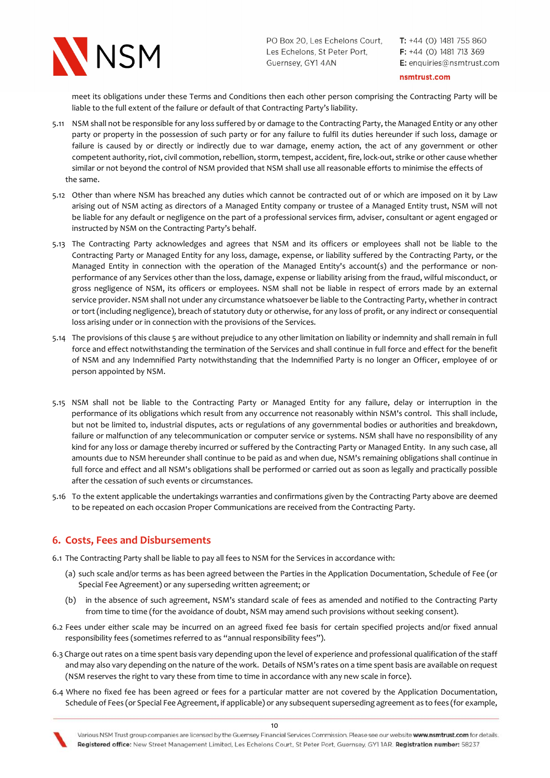

 $T: +44$  (0) 1481 755 860  $F: +44$  (0) 1481 713 369 E: enquiries@nsmtrust.com

nsmtrust.com

 meet its obligations under these Terms and Conditions then each other person comprising the Contracting Party will be liable to the full extent of the failure or default of that Contracting Party's liability.

- 5.11 NSM shall not be responsible for any loss suffered by or damage to the Contracting Party, the Managed Entity or any other party or property in the possession of such party or for any failure to fulfil its duties hereunder if such loss, damage or failure is caused by or directly or indirectly due to war damage, enemy action, the act of any government or other competent authority, riot, civil commotion, rebellion, storm, tempest, accident, fire, lock-out, strike or other cause whether similar or not beyond the control of NSM provided that NSM shall use all reasonable efforts to minimise the effects of the same.
- 5.12 Other than where NSM has breached any duties which cannot be contracted out of or which are imposed on it by Law arising out of NSM acting as directors of a Managed Entity company or trustee of a Managed Entity trust, NSM will not be liable for any default or negligence on the part of a professional services firm, adviser, consultant or agent engaged or instructed by NSM on the Contracting Party's behalf.
- 5.13 The Contracting Party acknowledges and agrees that NSM and its officers or employees shall not be liable to the Contracting Party or Managed Entity for any loss, damage, expense, or liability suffered by the Contracting Party, or the Managed Entity in connection with the operation of the Managed Entity's account(s) and the performance or non performance of any Services other than the loss, damage, expense or liability arising from the fraud, wilful misconduct, or gross negligence of NSM, its officers or employees. NSM shall not be liable in respect of errors made by an external service provider. NSM shall not under any circumstance whatsoever be liable to the Contracting Party, whether in contract or tort (including negligence), breach of statutory duty or otherwise, for any loss of profit, or any indirect or consequential loss arising under or in connection with the provisions of the Services.
- 5.14 The provisions of this clause 5 are without prejudice to any other limitation on liability or indemnity and shall remain in full force and effect notwithstanding the termination of the Services and shall continue in full force and effect for the benefit of NSM and any Indemnified Party notwithstanding that the Indemnified Party is no longer an Officer, employee of or person appointed by NSM.
- 5.15 NSM shall not be liable to the Contracting Party or Managed Entity for any failure, delay or interruption in the performance of its obligations which result from any occurrence not reasonably within NSM's control. This shall include, but not be limited to, industrial disputes, acts or regulations of any governmental bodies or authorities and breakdown, failure or malfunction of any telecommunication or computer service or systems. NSM shall have no responsibility of any kind for any loss or damage thereby incurred or suffered by the Contracting Party or Managed Entity. In any such case, all amounts due to NSM hereunder shall continue to be paid as and when due, NSM's remaining obligations shall continue in full force and effect and all NSM's obligations shall be performed or carried out as soon as legally and practically possible after the cessation of such events or circumstances.
- 5.16 To the extent applicable the undertakings warranties and confirmations given by the Contracting Party above are deemed to be repeated on each occasion Proper Communications are received from the Contracting Party.

# 6. Costs, Fees and Disbursements

- 6.1 The Contracting Party shall be liable to pay all fees to NSM for the Services in accordance with:
	- (a) such scale and/or terms as has been agreed between the Parties in the Application Documentation, Schedule of Fee (or Special Fee Agreement) or any superseding written agreement; or
	- (b) in the absence of such agreement, NSM's standard scale of fees as amended and notified to the Contracting Party from time to time (for the avoidance of doubt, NSM may amend such provisions without seeking consent).
- 6.2 Fees under either scale may be incurred on an agreed fixed fee basis for certain specified projects and/or fixed annual responsibility fees (sometimes referred to as "annual responsibility fees").
- 6.3 Charge out rates on a time spent basis vary depending upon the level of experience and professional qualification of the staff and may also vary depending on the nature of the work. Details of NSM's rates on a time spent basis are available on request (NSM reserves the right to vary these from time to time in accordance with any new scale in force).
- 6.4 Where no fixed fee has been agreed or fees for a particular matter are not covered by the Application Documentation, Schedule of Fees (or Special Fee Agreement, if applicable) or any subsequent superseding agreement as to fees (for example,

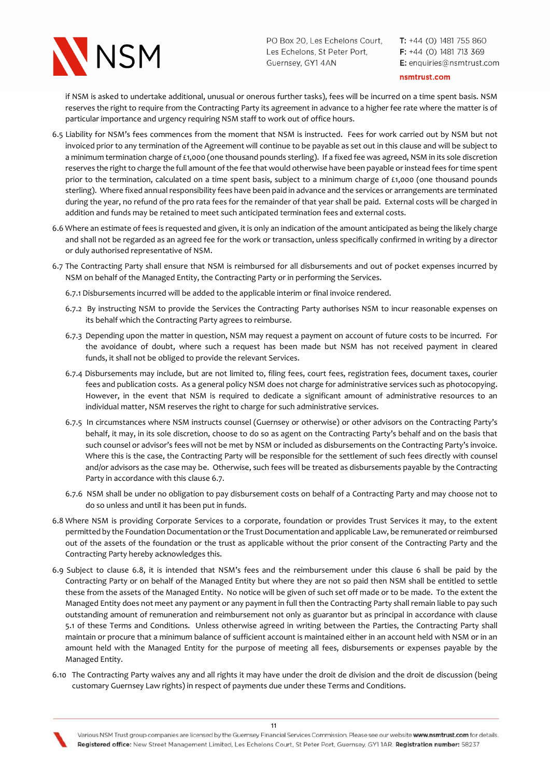

 $T: +44$  (0) 1481 755 860  $F: +44$  (0) 1481 713 369 E: enquiries@nsmtrust.com

nsmtrust.com

if NSM is asked to undertake additional, unusual or onerous further tasks), fees will be incurred on a time spent basis. NSM reserves the right to require from the Contracting Party its agreement in advance to a higher fee rate where the matter is of particular importance and urgency requiring NSM staff to work out of office hours.

- 6.5 Liability for NSM's fees commences from the moment that NSM is instructed. Fees for work carried out by NSM but not invoiced prior to any termination of the Agreement will continue to be payable as set out in this clause and will be subject to a minimum termination charge of £1,000 (one thousand pounds sterling). If a fixed fee was agreed, NSM in its sole discretion reserves the right to charge the full amount of the fee that would otherwise have been payable or instead fees for time spent prior to the termination, calculated on a time spent basis, subject to a minimum charge of £1,000 (one thousand pounds sterling). Where fixed annual responsibility fees have been paid in advance and the services or arrangements are terminated during the year, no refund of the pro rata fees for the remainder of that year shall be paid. External costs will be charged in addition and funds may be retained to meet such anticipated termination fees and external costs.
- 6.6 Where an estimate of fees is requested and given, it is only an indication of the amount anticipated as being the likely charge and shall not be regarded as an agreed fee for the work or transaction, unless specifically confirmed in writing by a director or duly authorised representative of NSM.
- 6.7 The Contracting Party shall ensure that NSM is reimbursed for all disbursements and out of pocket expenses incurred by NSM on behalf of the Managed Entity, the Contracting Party or in performing the Services.

6.7.1 Disbursements incurred will be added to the applicable interim or final invoice rendered.

- 6.7.2 By instructing NSM to provide the Services the Contracting Party authorises NSM to incur reasonable expenses on its behalf which the Contracting Party agrees to reimburse.
- 6.7.3 Depending upon the matter in question, NSM may request a payment on account of future costs to be incurred. For the avoidance of doubt, where such a request has been made but NSM has not received payment in cleared funds, it shall not be obliged to provide the relevant Services.
- 6.7.4 Disbursements may include, but are not limited to, filing fees, court fees, registration fees, document taxes, courier fees and publication costs. As a general policy NSM does not charge for administrative services such as photocopying. However, in the event that NSM is required to dedicate a significant amount of administrative resources to an individual matter, NSM reserves the right to charge for such administrative services.
- 6.7.5 In circumstances where NSM instructs counsel (Guernsey or otherwise) or other advisors on the Contracting Party's behalf, it may, in its sole discretion, choose to do so as agent on the Contracting Party's behalf and on the basis that such counsel or advisor's fees will not be met by NSM or included as disbursements on the Contracting Party's invoice. Where this is the case, the Contracting Party will be responsible for the settlement of such fees directly with counsel and/or advisors as the case may be. Otherwise, such fees will be treated as disbursements payable by the Contracting Party in accordance with this clause 6.7.
- 6.7.6 NSM shall be under no obligation to pay disbursement costs on behalf of a Contracting Party and may choose not to do so unless and until it has been put in funds.
- 6.8 Where NSM is providing Corporate Services to a corporate, foundation or provides Trust Services it may, to the extent permitted by the Foundation Documentation or the Trust Documentation and applicable Law, be remunerated or reimbursed out of the assets of the foundation or the trust as applicable without the prior consent of the Contracting Party and the Contracting Party hereby acknowledges this.
- 6.9 Subject to clause 6.8, it is intended that NSM's fees and the reimbursement under this clause 6 shall be paid by the Contracting Party or on behalf of the Managed Entity but where they are not so paid then NSM shall be entitled to settle these from the assets of the Managed Entity. No notice will be given of such set off made or to be made. To the extent the Managed Entity does not meet any payment or any payment in full then the Contracting Party shall remain liable to pay such outstanding amount of remuneration and reimbursement not only as guarantor but as principal in accordance with clause 5.1 of these Terms and Conditions. Unless otherwise agreed in writing between the Parties, the Contracting Party shall maintain or procure that a minimum balance of sufficient account is maintained either in an account held with NSM or in an amount held with the Managed Entity for the purpose of meeting all fees, disbursements or expenses payable by the Managed Entity.
- 6.10 The Contracting Party waives any and all rights it may have under the droit de division and the droit de discussion (being customary Guernsey Law rights) in respect of payments due under these Terms and Conditions.

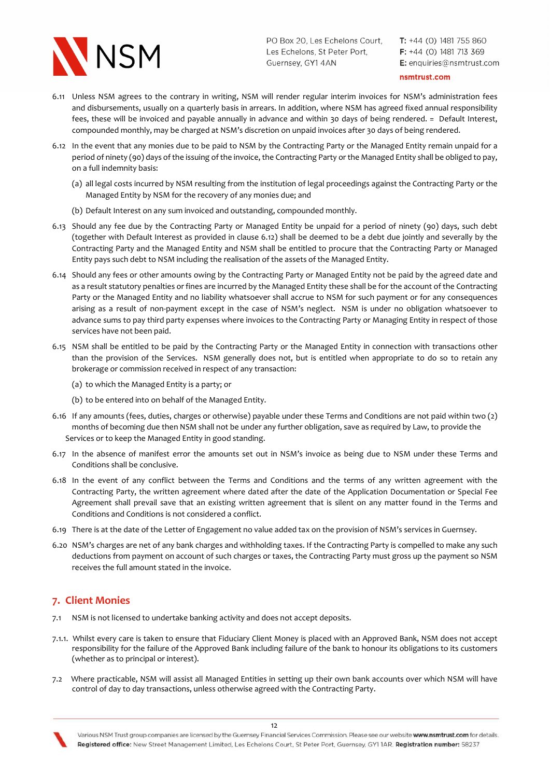

 $T: +44$  (0) 1481 755 860  $F: +44$  (0) 1481 713 369 E: enquiries@nsmtrust.com

#### nsmtrust.com

- 6.11 Unless NSM agrees to the contrary in writing, NSM will render regular interim invoices for NSM's administration fees and disbursements, usually on a quarterly basis in arrears. In addition, where NSM has agreed fixed annual responsibility fees, these will be invoiced and payable annually in advance and within 30 days of being rendered. = Default Interest, compounded monthly, may be charged at NSM's discretion on unpaid invoices after 30 days of being rendered.
- 6.12 In the event that any monies due to be paid to NSM by the Contracting Party or the Managed Entity remain unpaid for a period of ninety (90) days of the issuing of the invoice, the Contracting Party or the Managed Entity shall be obliged to pay, on a full indemnity basis:
	- (a) all legal costs incurred by NSM resulting from the institution of legal proceedings against the Contracting Party or the Managed Entity by NSM for the recovery of any monies due; and
	- (b) Default Interest on any sum invoiced and outstanding, compounded monthly.
- 6.13 Should any fee due by the Contracting Party or Managed Entity be unpaid for a period of ninety (90) days, such debt (together with Default Interest as provided in clause 6.12) shall be deemed to be a debt due jointly and severally by the Contracting Party and the Managed Entity and NSM shall be entitled to procure that the Contracting Party or Managed Entity pays such debt to NSM including the realisation of the assets of the Managed Entity.
- 6.14 Should any fees or other amounts owing by the Contracting Party or Managed Entity not be paid by the agreed date and as a result statutory penalties or fines are incurred by the Managed Entity these shall be for the account of the Contracting Party or the Managed Entity and no liability whatsoever shall accrue to NSM for such payment or for any consequences arising as a result of non-payment except in the case of NSM's neglect. NSM is under no obligation whatsoever to advance sums to pay third party expenses where invoices to the Contracting Party or Managing Entity in respect of those services have not been paid.
- 6.15 NSM shall be entitled to be paid by the Contracting Party or the Managed Entity in connection with transactions other than the provision of the Services. NSM generally does not, but is entitled when appropriate to do so to retain any brokerage or commission received in respect of any transaction:
	- (a) to which the Managed Entity is a party; or
	- (b) to be entered into on behalf of the Managed Entity.
- 6.16 If any amounts (fees, duties, charges or otherwise) payable under these Terms and Conditions are not paid within two (2) months of becoming due then NSM shall not be under any further obligation, save as required by Law, to provide the Services or to keep the Managed Entity in good standing.
- 6.17 In the absence of manifest error the amounts set out in NSM's invoice as being due to NSM under these Terms and Conditions shall be conclusive.
- 6.18 In the event of any conflict between the Terms and Conditions and the terms of any written agreement with the Contracting Party, the written agreement where dated after the date of the Application Documentation or Special Fee Agreement shall prevail save that an existing written agreement that is silent on any matter found in the Terms and Conditions and Conditions is not considered a conflict.
- 6.19 There is at the date of the Letter of Engagement no value added tax on the provision of NSM's services in Guernsey.
- 6.20 NSM's charges are net of any bank charges and withholding taxes. If the Contracting Party is compelled to make any such deductions from payment on account of such charges or taxes, the Contracting Party must gross up the payment so NSM receives the full amount stated in the invoice.

## 7. Client Monies

- 7.1 NSM is not licensed to undertake banking activity and does not accept deposits.
- 7.1.1. Whilst every care is taken to ensure that Fiduciary Client Money is placed with an Approved Bank, NSM does not accept responsibility for the failure of the Approved Bank including failure of the bank to honour its obligations to its customers (whether as to principal or interest).
- 7.2 Where practicable, NSM will assist all Managed Entities in setting up their own bank accounts over which NSM will have control of day to day transactions, unless otherwise agreed with the Contracting Party.



Various NSM Trust group companies are licensed by the Guernsey Financial Services Commission. Please see our website www.nsmtrust.com for details. Registered office: New Street Management Limited, Les Echelons Court, St Peter Port, Guernsey, GY11AR. Registration number: 58237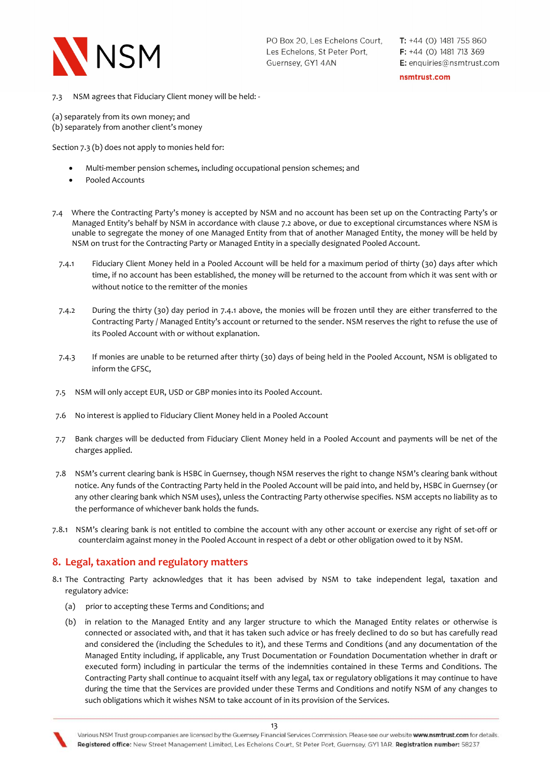

nsmtrust.com

7.3 NSM agrees that Fiduciary Client money will be held: -

(a) separately from its own money; and

(b) separately from another client's money

Section 7.3 (b) does not apply to monies held for:

- Multi-member pension schemes, including occupational pension schemes; and
- Pooled Accounts
- 7.4 Where the Contracting Party's money is accepted by NSM and no account has been set up on the Contracting Party's or Managed Entity's behalf by NSM in accordance with clause 7.2 above, or due to exceptional circumstances where NSM is unable to segregate the money of one Managed Entity from that of another Managed Entity, the money will be held by NSM on trust for the Contracting Party or Managed Entity in a specially designated Pooled Account.
	- 7.4.1 Fiduciary Client Money held in a Pooled Account will be held for a maximum period of thirty (30) days after which time, if no account has been established, the money will be returned to the account from which it was sent with or without notice to the remitter of the monies
	- 7.4.2 During the thirty (30) day period in 7.4.1 above, the monies will be frozen until they are either transferred to the Contracting Party / Managed Entity's account or returned to the sender. NSM reserves the right to refuse the use of its Pooled Account with or without explanation.
	- 7.4.3 If monies are unable to be returned after thirty (30) days of being held in the Pooled Account, NSM is obligated to inform the GFSC,
- 7.5 NSM will only accept EUR, USD or GBP monies into its Pooled Account.
- 7.6 No interest is applied to Fiduciary Client Money held in a Pooled Account
- 7.7 Bank charges will be deducted from Fiduciary Client Money held in a Pooled Account and payments will be net of the charges applied.
- 7.8 NSM's current clearing bank is HSBC in Guernsey, though NSM reserves the right to change NSM's clearing bank without notice. Any funds of the Contracting Party held in the Pooled Account will be paid into, and held by, HSBC in Guernsey (or any other clearing bank which NSM uses), unless the Contracting Party otherwise specifies. NSM accepts no liability as to the performance of whichever bank holds the funds.
- 7.8.1 NSM's clearing bank is not entitled to combine the account with any other account or exercise any right of set-off or counterclaim against money in the Pooled Account in respect of a debt or other obligation owed to it by NSM.

# 8. Legal, taxation and regulatory matters

- 8.1 The Contracting Party acknowledges that it has been advised by NSM to take independent legal, taxation and regulatory advice:
	- (a) prior to accepting these Terms and Conditions; and
	- (b) in relation to the Managed Entity and any larger structure to which the Managed Entity relates or otherwise is connected or associated with, and that it has taken such advice or has freely declined to do so but has carefully read and considered the (including the Schedules to it), and these Terms and Conditions (and any documentation of the Managed Entity including, if applicable, any Trust Documentation or Foundation Documentation whether in draft or executed form) including in particular the terms of the indemnities contained in these Terms and Conditions. The Contracting Party shall continue to acquaint itself with any legal, tax or regulatory obligations it may continue to have during the time that the Services are provided under these Terms and Conditions and notify NSM of any changes to such obligations which it wishes NSM to take account of in its provision of the Services.

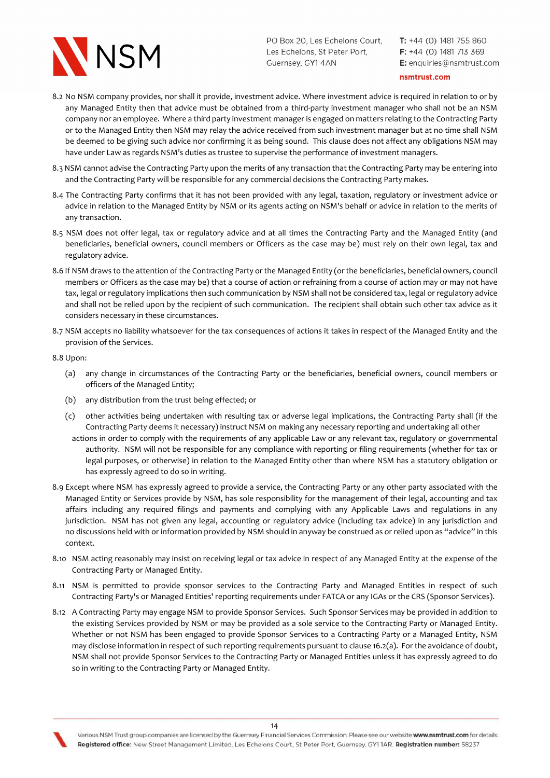

 $T: +44$  (0) 1481 755 860  $F: +44$  (0) 1481 713 369 E: enquiries@nsmtrust.com

nsmtrust.com

- 8.2 No NSM company provides, nor shall it provide, investment advice. Where investment advice is required in relation to or by any Managed Entity then that advice must be obtained from a third-party investment manager who shall not be an NSM company nor an employee. Where a third party investment manager is engaged on matters relating to the Contracting Party or to the Managed Entity then NSM may relay the advice received from such investment manager but at no time shall NSM be deemed to be giving such advice nor confirming it as being sound. This clause does not affect any obligations NSM may have under Law as regards NSM's duties as trustee to supervise the performance of investment managers.
- 8.3 NSM cannot advise the Contracting Party upon the merits of any transaction that the Contracting Party may be entering into and the Contracting Party will be responsible for any commercial decisions the Contracting Party makes.
- 8.4 The Contracting Party confirms that it has not been provided with any legal, taxation, regulatory or investment advice or advice in relation to the Managed Entity by NSM or its agents acting on NSM's behalf or advice in relation to the merits of any transaction.
- 8.5 NSM does not offer legal, tax or regulatory advice and at all times the Contracting Party and the Managed Entity (and beneficiaries, beneficial owners, council members or Officers as the case may be) must rely on their own legal, tax and regulatory advice.
- 8.6 If NSM draws to the attention of the Contracting Party or the Managed Entity (or the beneficiaries, beneficial owners, council members or Officers as the case may be) that a course of action or refraining from a course of action may or may not have tax, legal or regulatory implications then such communication by NSM shall not be considered tax, legal or regulatory advice and shall not be relied upon by the recipient of such communication. The recipient shall obtain such other tax advice as it considers necessary in these circumstances.
- 8.7 NSM accepts no liability whatsoever for the tax consequences of actions it takes in respect of the Managed Entity and the provision of the Services.

8.8 Upon:

- (a) any change in circumstances of the Contracting Party or the beneficiaries, beneficial owners, council members or officers of the Managed Entity;
- (b) any distribution from the trust being effected; or
- (c) other activities being undertaken with resulting tax or adverse legal implications, the Contracting Party shall (if the Contracting Party deems it necessary) instruct NSM on making any necessary reporting and undertaking all other
	- actions in order to comply with the requirements of any applicable Law or any relevant tax, regulatory or governmental authority. NSM will not be responsible for any compliance with reporting or filing requirements (whether for tax or legal purposes, or otherwise) in relation to the Managed Entity other than where NSM has a statutory obligation or has expressly agreed to do so in writing.
- 8.9 Except where NSM has expressly agreed to provide a service, the Contracting Party or any other party associated with the Managed Entity or Services provide by NSM, has sole responsibility for the management of their legal, accounting and tax affairs including any required filings and payments and complying with any Applicable Laws and regulations in any jurisdiction. NSM has not given any legal, accounting or regulatory advice (including tax advice) in any jurisdiction and no discussions held with or information provided by NSM should in anyway be construed as or relied upon as "advice" in this context.
- 8.10 NSM acting reasonably may insist on receiving legal or tax advice in respect of any Managed Entity at the expense of the Contracting Party or Managed Entity.
- 8.11 NSM is permitted to provide sponsor services to the Contracting Party and Managed Entities in respect of such Contracting Party's or Managed Entities' reporting requirements under FATCA or any IGAs or the CRS (Sponsor Services).
- 8.12 A Contracting Party may engage NSM to provide Sponsor Services. Such Sponsor Services may be provided in addition to the existing Services provided by NSM or may be provided as a sole service to the Contracting Party or Managed Entity. Whether or not NSM has been engaged to provide Sponsor Services to a Contracting Party or a Managed Entity, NSM may disclose information in respect of such reporting requirements pursuant to clause 16.2(a). For the avoidance of doubt, NSM shall not provide Sponsor Services to the Contracting Party or Managed Entities unless it has expressly agreed to do so in writing to the Contracting Party or Managed Entity.

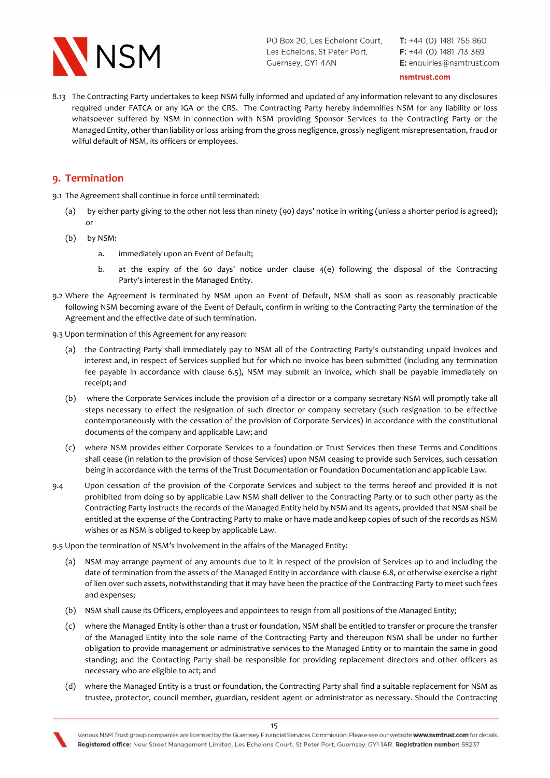

 $T: +44$  (0) 1481 755 860  $F: +44$  (0) 1481 713 369 E: enquiries@nsmtrust.com

#### nsmtrust.com

8.13 The Contracting Party undertakes to keep NSM fully informed and updated of any information relevant to any disclosures required under FATCA or any IGA or the CRS. The Contracting Party hereby indemnifies NSM for any liability or loss whatsoever suffered by NSM in connection with NSM providing Sponsor Services to the Contracting Party or the Managed Entity, other than liability or loss arising from the gross negligence, grossly negligent misrepresentation, fraud or wilful default of NSM, its officers or employees.

# 9. Termination

9.1 The Agreement shall continue in force until terminated:

- (a) by either party giving to the other not less than ninety (90) days' notice in writing (unless a shorter period is agreed); or
- (b) by NSM:
	- a. immediately upon an Event of Default;
	- b. at the expiry of the 60 days' notice under clause 4(e) following the disposal of the Contracting Party's interest in the Managed Entity.
- 9.2 Where the Agreement is terminated by NSM upon an Event of Default, NSM shall as soon as reasonably practicable following NSM becoming aware of the Event of Default, confirm in writing to the Contracting Party the termination of the Agreement and the effective date of such termination.
- 9.3 Upon termination of this Agreement for any reason:
	- (a) the Contracting Party shall immediately pay to NSM all of the Contracting Party's outstanding unpaid invoices and interest and, in respect of Services supplied but for which no invoice has been submitted (including any termination fee payable in accordance with clause 6.5), NSM may submit an invoice, which shall be payable immediately on receipt; and
	- (b) where the Corporate Services include the provision of a director or a company secretary NSM will promptly take all steps necessary to effect the resignation of such director or company secretary (such resignation to be effective contemporaneously with the cessation of the provision of Corporate Services) in accordance with the constitutional documents of the company and applicable Law; and
	- (c) where NSM provides either Corporate Services to a foundation or Trust Services then these Terms and Conditions shall cease (in relation to the provision of those Services) upon NSM ceasing to provide such Services, such cessation being in accordance with the terms of the Trust Documentation or Foundation Documentation and applicable Law.
- 9.4 Upon cessation of the provision of the Corporate Services and subject to the terms hereof and provided it is not prohibited from doing so by applicable Law NSM shall deliver to the Contracting Party or to such other party as the Contracting Party instructs the records of the Managed Entity held by NSM and its agents, provided that NSM shall be entitled at the expense of the Contracting Party to make or have made and keep copies of such of the records as NSM wishes or as NSM is obliged to keep by applicable Law.
- 9.5 Upon the termination of NSM's involvement in the affairs of the Managed Entity:
	- (a) NSM may arrange payment of any amounts due to it in respect of the provision of Services up to and including the date of termination from the assets of the Managed Entity in accordance with clause 6.8, or otherwise exercise a right of lien over such assets, notwithstanding that it may have been the practice of the Contracting Party to meet such fees and expenses;
	- (b) NSM shall cause its Officers, employees and appointees to resign from all positions of the Managed Entity;
	- (c) where the Managed Entity is other than a trust or foundation, NSM shall be entitled to transfer or procure the transfer of the Managed Entity into the sole name of the Contracting Party and thereupon NSM shall be under no further obligation to provide management or administrative services to the Managed Entity or to maintain the same in good standing; and the Contacting Party shall be responsible for providing replacement directors and other officers as necessary who are eligible to act; and
	- (d) where the Managed Entity is a trust or foundation, the Contracting Party shall find a suitable replacement for NSM as trustee, protector, council member, guardian, resident agent or administrator as necessary. Should the Contracting

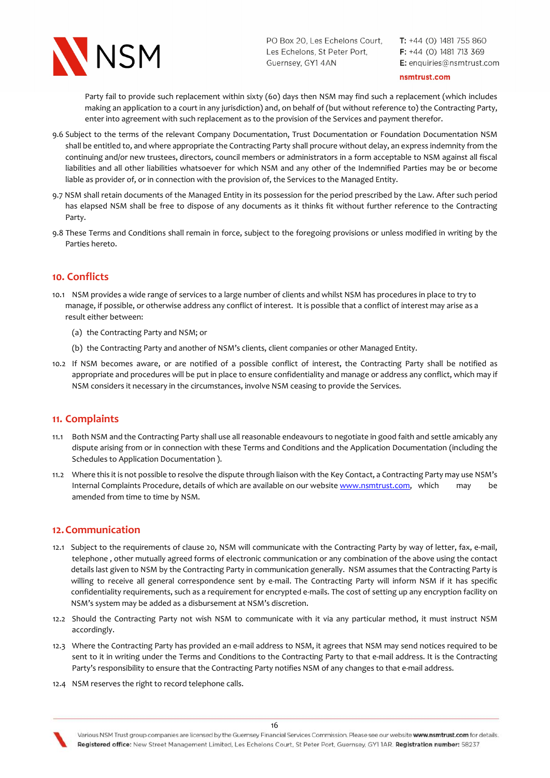

 $T: +44$  (0) 1481 755 860  $F: +44$  (0) 1481 713 369 E: enquiries@nsmtrust.com

nsmtrust.com

 Party fail to provide such replacement within sixty (60) days then NSM may find such a replacement (which includes making an application to a court in any jurisdiction) and, on behalf of (but without reference to) the Contracting Party, enter into agreement with such replacement as to the provision of the Services and payment therefor.

- 9.6 Subject to the terms of the relevant Company Documentation, Trust Documentation or Foundation Documentation NSM shall be entitled to, and where appropriate the Contracting Party shall procure without delay, an express indemnity from the continuing and/or new trustees, directors, council members or administrators in a form acceptable to NSM against all fiscal liabilities and all other liabilities whatsoever for which NSM and any other of the Indemnified Parties may be or become liable as provider of, or in connection with the provision of, the Services to the Managed Entity.
- 9.7 NSM shall retain documents of the Managed Entity in its possession for the period prescribed by the Law. After such period has elapsed NSM shall be free to dispose of any documents as it thinks fit without further reference to the Contracting Party.
- 9.8 These Terms and Conditions shall remain in force, subject to the foregoing provisions or unless modified in writing by the Parties hereto.

# 10. Conflicts

- 10.1 NSM provides a wide range of services to a large number of clients and whilst NSM has procedures in place to try to manage, if possible, or otherwise address any conflict of interest. It is possible that a conflict of interest may arise as a result either between:
	- (a) the Contracting Party and NSM; or
	- (b) the Contracting Party and another of NSM's clients, client companies or other Managed Entity.
- 10.2 If NSM becomes aware, or are notified of a possible conflict of interest, the Contracting Party shall be notified as appropriate and procedures will be put in place to ensure confidentiality and manage or address any conflict, which may if NSM considers it necessary in the circumstances, involve NSM ceasing to provide the Services.

## 11. Complaints

- 11.1 Both NSM and the Contracting Party shall use all reasonable endeavours to negotiate in good faith and settle amicably any dispute arising from or in connection with these Terms and Conditions and the Application Documentation (including the Schedules to Application Documentation ).
- 11.2 Where this it is not possible to resolve the dispute through liaison with the Key Contact, a Contracting Party may use NSM's Internal Complaints Procedure, details of which are available on our website www.nsmtrust.com, which may be amended from time to time by NSM.

## 12. Communication

- 12.1 Subject to the requirements of clause 20, NSM will communicate with the Contracting Party by way of letter, fax, e-mail, telephone , other mutually agreed forms of electronic communication or any combination of the above using the contact details last given to NSM by the Contracting Party in communication generally. NSM assumes that the Contracting Party is willing to receive all general correspondence sent by e-mail. The Contracting Party will inform NSM if it has specific confidentiality requirements, such as a requirement for encrypted e-mails. The cost of setting up any encryption facility on NSM's system may be added as a disbursement at NSM's discretion.
- 12.2 Should the Contracting Party not wish NSM to communicate with it via any particular method, it must instruct NSM accordingly.
- 12.3 Where the Contracting Party has provided an e-mail address to NSM, it agrees that NSM may send notices required to be sent to it in writing under the Terms and Conditions to the Contracting Party to that e-mail address. It is the Contracting Party's responsibility to ensure that the Contracting Party notifies NSM of any changes to that e-mail address.
- 12.4 NSM reserves the right to record telephone calls.

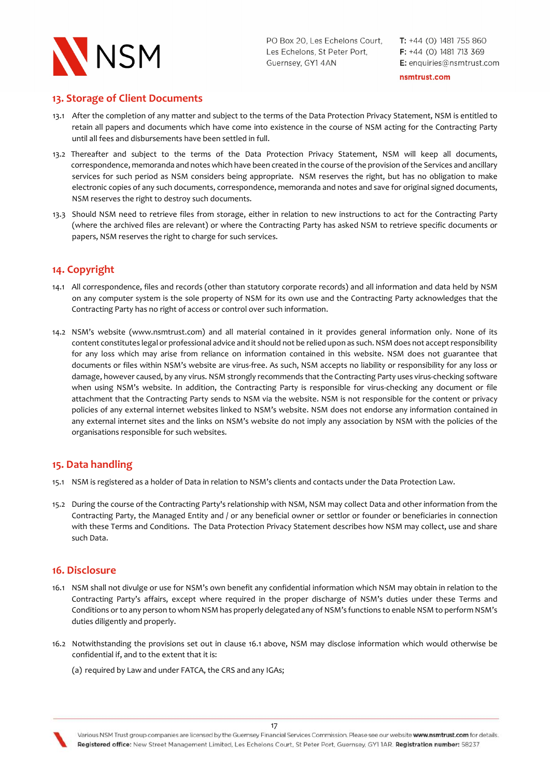

 $T: +44$  (0) 1481 755 860  $F: +44$  (0) 1481 713 369 E: enquiries@nsmtrust.com

nsmtrust.com

# 13. Storage of Client Documents

- 13.1 After the completion of any matter and subject to the terms of the Data Protection Privacy Statement, NSM is entitled to retain all papers and documents which have come into existence in the course of NSM acting for the Contracting Party until all fees and disbursements have been settled in full.
- 13.2 Thereafter and subject to the terms of the Data Protection Privacy Statement, NSM will keep all documents, correspondence, memoranda and notes which have been created in the course of the provision of the Services and ancillary services for such period as NSM considers being appropriate. NSM reserves the right, but has no obligation to make electronic copies of any such documents, correspondence, memoranda and notes and save for original signed documents, NSM reserves the right to destroy such documents.
- 13.3 Should NSM need to retrieve files from storage, either in relation to new instructions to act for the Contracting Party (where the archived files are relevant) or where the Contracting Party has asked NSM to retrieve specific documents or papers, NSM reserves the right to charge for such services.

# 14. Copyright

- 14.1 All correspondence, files and records (other than statutory corporate records) and all information and data held by NSM on any computer system is the sole property of NSM for its own use and the Contracting Party acknowledges that the Contracting Party has no right of access or control over such information.
- 14.2 NSM's website (www.nsmtrust.com) and all material contained in it provides general information only. None of its content constitutes legal or professional advice and it should not be relied upon as such. NSM does not accept responsibility for any loss which may arise from reliance on information contained in this website. NSM does not guarantee that documents or files within NSM's website are virus-free. As such, NSM accepts no liability or responsibility for any loss or damage, however caused, by any virus. NSM strongly recommends that the Contracting Party uses virus-checking software when using NSM's website. In addition, the Contracting Party is responsible for virus-checking any document or file attachment that the Contracting Party sends to NSM via the website. NSM is not responsible for the content or privacy policies of any external internet websites linked to NSM's website. NSM does not endorse any information contained in any external internet sites and the links on NSM's website do not imply any association by NSM with the policies of the organisations responsible for such websites.

# 15. Data handling

- 15.1 NSM is registered as a holder of Data in relation to NSM's clients and contacts under the Data Protection Law.
- 15.2 During the course of the Contracting Party's relationship with NSM, NSM may collect Data and other information from the Contracting Party, the Managed Entity and / or any beneficial owner or settlor or founder or beneficiaries in connection with these Terms and Conditions. The Data Protection Privacy Statement describes how NSM may collect, use and share such Data.

## 16. Disclosure

- 16.1 NSM shall not divulge or use for NSM's own benefit any confidential information which NSM may obtain in relation to the Contracting Party's affairs, except where required in the proper discharge of NSM's duties under these Terms and Conditions or to any person to whom NSM has properly delegated any of NSM's functions to enable NSM to perform NSM's duties diligently and properly.
- 16.2 Notwithstanding the provisions set out in clause 16.1 above, NSM may disclose information which would otherwise be confidential if, and to the extent that it is:

17

(a) required by Law and under FATCA, the CRS and any IGAs;

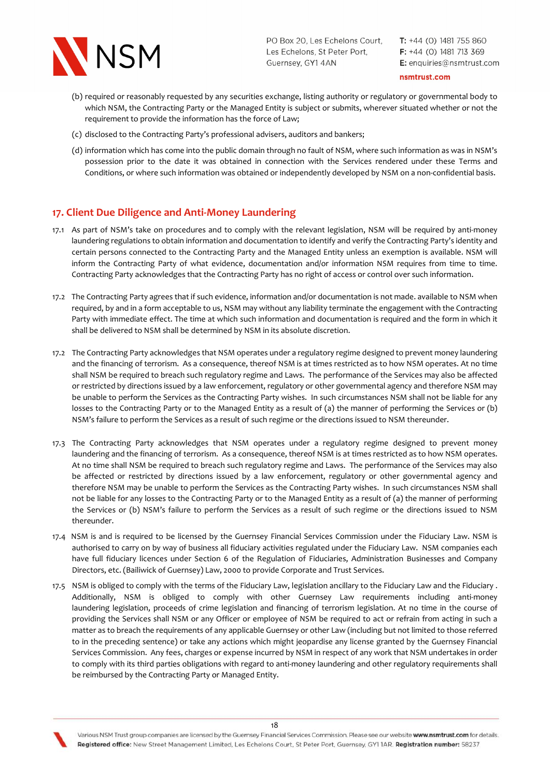

 $T: +44$  (0) 1481 755 860  $F: +44$  (0) 1481 713 369 E: enquiries@nsmtrust.com

nsmtrust.com

- (b) required or reasonably requested by any securities exchange, listing authority or regulatory or governmental body to which NSM, the Contracting Party or the Managed Entity is subject or submits, wherever situated whether or not the requirement to provide the information has the force of Law;
- (c) disclosed to the Contracting Party's professional advisers, auditors and bankers;
- (d) information which has come into the public domain through no fault of NSM, where such information as was in NSM's possession prior to the date it was obtained in connection with the Services rendered under these Terms and Conditions, or where such information was obtained or independently developed by NSM on a non-confidential basis.

# 17. Client Due Diligence and Anti-Money Laundering

- 17.1 As part of NSM's take on procedures and to comply with the relevant legislation, NSM will be required by anti-money laundering regulations to obtain information and documentation to identify and verify the Contracting Party's identity and certain persons connected to the Contracting Party and the Managed Entity unless an exemption is available. NSM will inform the Contracting Party of what evidence, documentation and/or information NSM requires from time to time. Contracting Party acknowledges that the Contracting Party has no right of access or control over such information.
- 17.2 The Contracting Party agrees that if such evidence, information and/or documentation is not made. available to NSM when required, by and in a form acceptable to us, NSM may without any liability terminate the engagement with the Contracting Party with immediate effect. The time at which such information and documentation is required and the form in which it shall be delivered to NSM shall be determined by NSM in its absolute discretion.
- 17.2 The Contracting Party acknowledges that NSM operates under a regulatory regime designed to prevent money laundering and the financing of terrorism. As a consequence, thereof NSM is at times restricted as to how NSM operates. At no time shall NSM be required to breach such regulatory regime and Laws. The performance of the Services may also be affected or restricted by directions issued by a law enforcement, regulatory or other governmental agency and therefore NSM may be unable to perform the Services as the Contracting Party wishes. In such circumstances NSM shall not be liable for any losses to the Contracting Party or to the Managed Entity as a result of (a) the manner of performing the Services or (b) NSM's failure to perform the Services as a result of such regime or the directions issued to NSM thereunder.
- 17.3 The Contracting Party acknowledges that NSM operates under a regulatory regime designed to prevent money laundering and the financing of terrorism. As a consequence, thereof NSM is at times restricted as to how NSM operates. At no time shall NSM be required to breach such regulatory regime and Laws. The performance of the Services may also be affected or restricted by directions issued by a law enforcement, regulatory or other governmental agency and therefore NSM may be unable to perform the Services as the Contracting Party wishes. In such circumstances NSM shall not be liable for any losses to the Contracting Party or to the Managed Entity as a result of (a) the manner of performing the Services or (b) NSM's failure to perform the Services as a result of such regime or the directions issued to NSM thereunder.
- 17.4 NSM is and is required to be licensed by the Guernsey Financial Services Commission under the Fiduciary Law. NSM is authorised to carry on by way of business all fiduciary activities regulated under the Fiduciary Law. NSM companies each have full fiduciary licences under Section 6 of the Regulation of Fiduciaries, Administration Businesses and Company Directors, etc. (Bailiwick of Guernsey) Law, 2000 to provide Corporate and Trust Services.
- 17.5 NSM is obliged to comply with the terms of the Fiduciary Law, legislation ancillary to the Fiduciary Law and the Fiduciary . Additionally, NSM is obliged to comply with other Guernsey Law requirements including anti-money laundering legislation, proceeds of crime legislation and financing of terrorism legislation. At no time in the course of providing the Services shall NSM or any Officer or employee of NSM be required to act or refrain from acting in such a matter as to breach the requirements of any applicable Guernsey or other Law (including but not limited to those referred to in the preceding sentence) or take any actions which might jeopardise any license granted by the Guernsey Financial Services Commission. Any fees, charges or expense incurred by NSM in respect of any work that NSM undertakes in order to comply with its third parties obligations with regard to anti-money laundering and other regulatory requirements shall be reimbursed by the Contracting Party or Managed Entity.

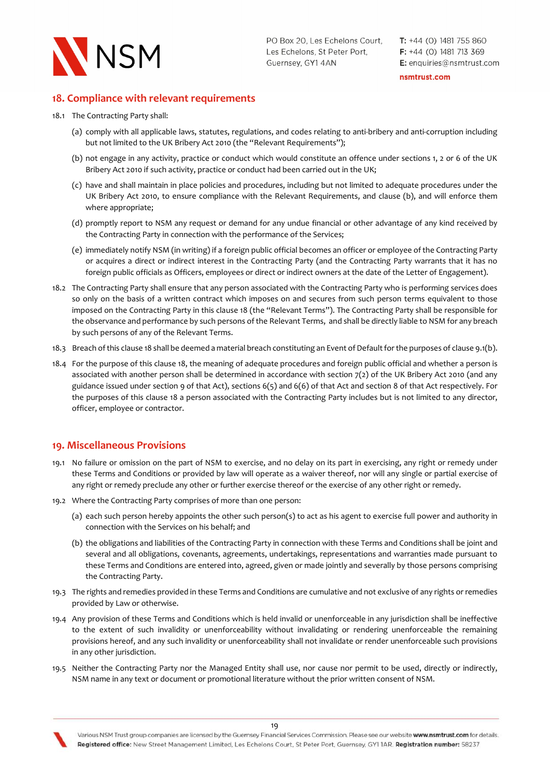

nsmtrust.com

# 18. Compliance with relevant requirements

#### 18.1 The Contracting Party shall:

- (a) comply with all applicable laws, statutes, regulations, and codes relating to anti-bribery and anti-corruption including but not limited to the UK Bribery Act 2010 (the "Relevant Requirements");
- (b) not engage in any activity, practice or conduct which would constitute an offence under sections 1, 2 or 6 of the UK Bribery Act 2010 if such activity, practice or conduct had been carried out in the UK;
- (c) have and shall maintain in place policies and procedures, including but not limited to adequate procedures under the UK Bribery Act 2010, to ensure compliance with the Relevant Requirements, and clause (b), and will enforce them where appropriate;
- (d) promptly report to NSM any request or demand for any undue financial or other advantage of any kind received by the Contracting Party in connection with the performance of the Services;
- (e) immediately notify NSM (in writing) if a foreign public official becomes an officer or employee of the Contracting Party or acquires a direct or indirect interest in the Contracting Party (and the Contracting Party warrants that it has no foreign public officials as Officers, employees or direct or indirect owners at the date of the Letter of Engagement).
- 18.2 The Contracting Party shall ensure that any person associated with the Contracting Party who is performing services does so only on the basis of a written contract which imposes on and secures from such person terms equivalent to those imposed on the Contracting Party in this clause 18 (the "Relevant Terms"). The Contracting Party shall be responsible for the observance and performance by such persons of the Relevant Terms, and shall be directly liable to NSM for any breach by such persons of any of the Relevant Terms.
- 18.3 Breach of this clause 18 shall be deemed a material breach constituting an Event of Default for the purposes of clause 9.1(b).
- 18.4 For the purpose of this clause 18, the meaning of adequate procedures and foreign public official and whether a person is associated with another person shall be determined in accordance with section 7(2) of the UK Bribery Act 2010 (and any guidance issued under section 9 of that Act), sections 6(5) and 6(6) of that Act and section 8 of that Act respectively. For the purposes of this clause 18 a person associated with the Contracting Party includes but is not limited to any director, officer, employee or contractor.

# 19. Miscellaneous Provisions

- 19.1 No failure or omission on the part of NSM to exercise, and no delay on its part in exercising, any right or remedy under these Terms and Conditions or provided by law will operate as a waiver thereof, nor will any single or partial exercise of any right or remedy preclude any other or further exercise thereof or the exercise of any other right or remedy.
- 19.2 Where the Contracting Party comprises of more than one person:
	- (a) each such person hereby appoints the other such person(s) to act as his agent to exercise full power and authority in connection with the Services on his behalf; and
	- (b) the obligations and liabilities of the Contracting Party in connection with these Terms and Conditions shall be joint and several and all obligations, covenants, agreements, undertakings, representations and warranties made pursuant to these Terms and Conditions are entered into, agreed, given or made jointly and severally by those persons comprising the Contracting Party.
- 19.3 The rights and remedies provided in these Terms and Conditions are cumulative and not exclusive of any rights or remedies provided by Law or otherwise.
- 19.4 Any provision of these Terms and Conditions which is held invalid or unenforceable in any jurisdiction shall be ineffective to the extent of such invalidity or unenforceability without invalidating or rendering unenforceable the remaining provisions hereof, and any such invalidity or unenforceability shall not invalidate or render unenforceable such provisions in any other jurisdiction.
- 19.5 Neither the Contracting Party nor the Managed Entity shall use, nor cause nor permit to be used, directly or indirectly, NSM name in any text or document or promotional literature without the prior written consent of NSM.

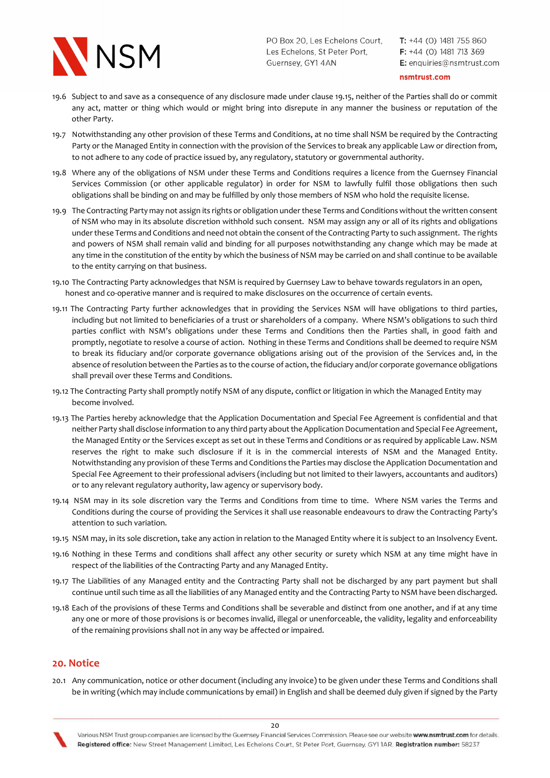

 $T: +44$  (0) 1481 755 860  $F: +44$  (0) 1481 713 369 E: enquiries@nsmtrust.com

nsmtrust.com

- 19.6 Subject to and save as a consequence of any disclosure made under clause 19.15, neither of the Parties shall do or commit any act, matter or thing which would or might bring into disrepute in any manner the business or reputation of the other Party.
- 19.7 Notwithstanding any other provision of these Terms and Conditions, at no time shall NSM be required by the Contracting Party or the Managed Entity in connection with the provision of the Services to break any applicable Law or direction from, to not adhere to any code of practice issued by, any regulatory, statutory or governmental authority.
- 19.8 Where any of the obligations of NSM under these Terms and Conditions requires a licence from the Guernsey Financial Services Commission (or other applicable regulator) in order for NSM to lawfully fulfil those obligations then such obligations shall be binding on and may be fulfilled by only those members of NSM who hold the requisite license.
- 19.9 The Contracting Party may not assign its rights or obligation under these Terms and Conditions without the written consent of NSM who may in its absolute discretion withhold such consent. NSM may assign any or all of its rights and obligations under these Terms and Conditions and need not obtain the consent of the Contracting Party to such assignment. The rights and powers of NSM shall remain valid and binding for all purposes notwithstanding any change which may be made at any time in the constitution of the entity by which the business of NSM may be carried on and shall continue to be available to the entity carrying on that business.
- 19.10 The Contracting Party acknowledges that NSM is required by Guernsey Law to behave towards regulators in an open, honest and co-operative manner and is required to make disclosures on the occurrence of certain events.
- 19.11 The Contracting Party further acknowledges that in providing the Services NSM will have obligations to third parties, including but not limited to beneficiaries of a trust or shareholders of a company. Where NSM's obligations to such third parties conflict with NSM's obligations under these Terms and Conditions then the Parties shall, in good faith and promptly, negotiate to resolve a course of action. Nothing in these Terms and Conditions shall be deemed to require NSM to break its fiduciary and/or corporate governance obligations arising out of the provision of the Services and, in the absence of resolution between the Parties as to the course of action, the fiduciary and/or corporate governance obligations shall prevail over these Terms and Conditions.
- 19.12 The Contracting Party shall promptly notify NSM of any dispute, conflict or litigation in which the Managed Entity may become involved.
- 19.13 The Parties hereby acknowledge that the Application Documentation and Special Fee Agreement is confidential and that neither Party shall disclose information to any third party about the Application Documentation and Special Fee Agreement, the Managed Entity or the Services except as set out in these Terms and Conditions or as required by applicable Law. NSM reserves the right to make such disclosure if it is in the commercial interests of NSM and the Managed Entity. Notwithstanding any provision of these Terms and Conditions the Parties may disclose the Application Documentation and Special Fee Agreement to their professional advisers (including but not limited to their lawyers, accountants and auditors) or to any relevant regulatory authority, law agency or supervisory body.
- 19.14 NSM may in its sole discretion vary the Terms and Conditions from time to time. Where NSM varies the Terms and Conditions during the course of providing the Services it shall use reasonable endeavours to draw the Contracting Party's attention to such variation.
- 19.15 NSM may, in its sole discretion, take any action in relation to the Managed Entity where it is subject to an Insolvency Event.
- 19.16 Nothing in these Terms and conditions shall affect any other security or surety which NSM at any time might have in respect of the liabilities of the Contracting Party and any Managed Entity.
- 19.17 The Liabilities of any Managed entity and the Contracting Party shall not be discharged by any part payment but shall continue until such time as all the liabilities of any Managed entity and the Contracting Party to NSM have been discharged.
- 19.18 Each of the provisions of these Terms and Conditions shall be severable and distinct from one another, and if at any time any one or more of those provisions is or becomes invalid, illegal or unenforceable, the validity, legality and enforceability of the remaining provisions shall not in any way be affected or impaired.

## 20. Notice

20.1 Any communication, notice or other document (including any invoice) to be given under these Terms and Conditions shall be in writing (which may include communications by email) in English and shall be deemed duly given if signed by the Party



Various NSM Trust group companies are licensed by the Guernsey Financial Services Commission. Please see our website www.nsmtrust.com for details. Registered office: New Street Management Limited, Les Echelons Court, St Peter Port, Guernsey, GY11AR. Registration number: 58237